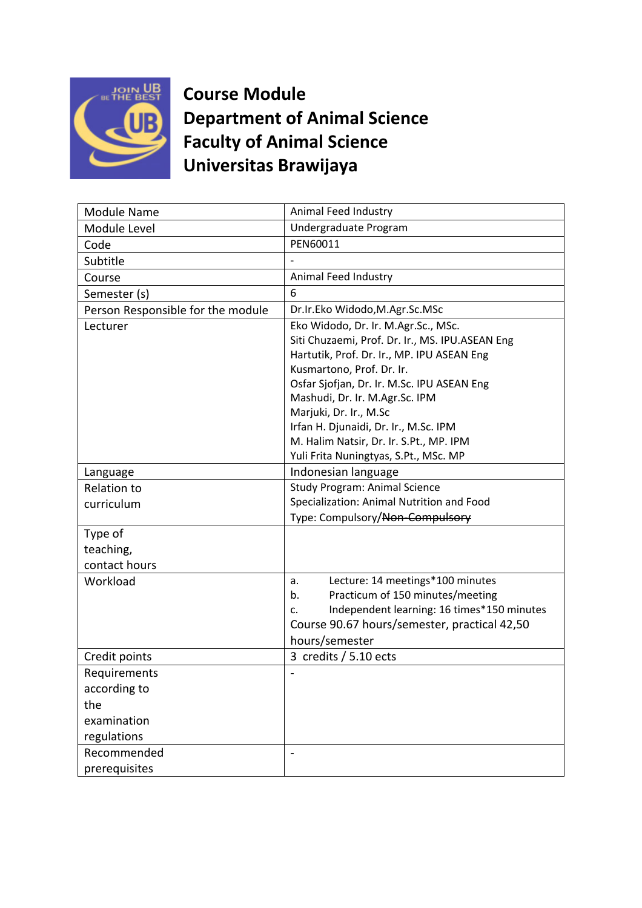

**Course Module Department of Animal Science Faculty of Animal Science Universitas Brawijaya**

| Module Name                       | Animal Feed Industry                             |
|-----------------------------------|--------------------------------------------------|
| Module Level                      | Undergraduate Program                            |
| Code                              | PEN60011                                         |
| Subtitle                          |                                                  |
| Course                            | Animal Feed Industry                             |
| Semester (s)                      | 6                                                |
| Person Responsible for the module | Dr.Ir.Eko Widodo, M.Agr.Sc.MSc                   |
| Lecturer                          | Eko Widodo, Dr. Ir. M.Agr.Sc., MSc.              |
|                                   | Siti Chuzaemi, Prof. Dr. Ir., MS. IPU.ASEAN Eng  |
|                                   | Hartutik, Prof. Dr. Ir., MP. IPU ASEAN Eng       |
|                                   | Kusmartono, Prof. Dr. Ir.                        |
|                                   | Osfar Sjofjan, Dr. Ir. M.Sc. IPU ASEAN Eng       |
|                                   | Mashudi, Dr. Ir. M.Agr.Sc. IPM                   |
|                                   | Marjuki, Dr. Ir., M.Sc                           |
|                                   | Irfan H. Djunaidi, Dr. Ir., M.Sc. IPM            |
|                                   | M. Halim Natsir, Dr. Ir. S.Pt., MP. IPM          |
|                                   | Yuli Frita Nuningtyas, S.Pt., MSc. MP            |
| Language                          | Indonesian language                              |
| <b>Relation to</b>                | <b>Study Program: Animal Science</b>             |
| curriculum                        | Specialization: Animal Nutrition and Food        |
|                                   | Type: Compulsory/Non-Compulsory                  |
| Type of                           |                                                  |
| teaching,                         |                                                  |
| contact hours                     |                                                  |
| Workload                          | Lecture: 14 meetings*100 minutes<br>a.           |
|                                   | Practicum of 150 minutes/meeting<br>b.           |
|                                   | Independent learning: 16 times*150 minutes<br>c. |
|                                   | Course 90.67 hours/semester, practical 42,50     |
|                                   | hours/semester                                   |
| Credit points                     | 3 credits $/$ 5.10 ects                          |
| Requirements                      |                                                  |
| according to                      |                                                  |
| the                               |                                                  |
| examination                       |                                                  |
| regulations                       |                                                  |
| Recommended                       |                                                  |
| prerequisites                     |                                                  |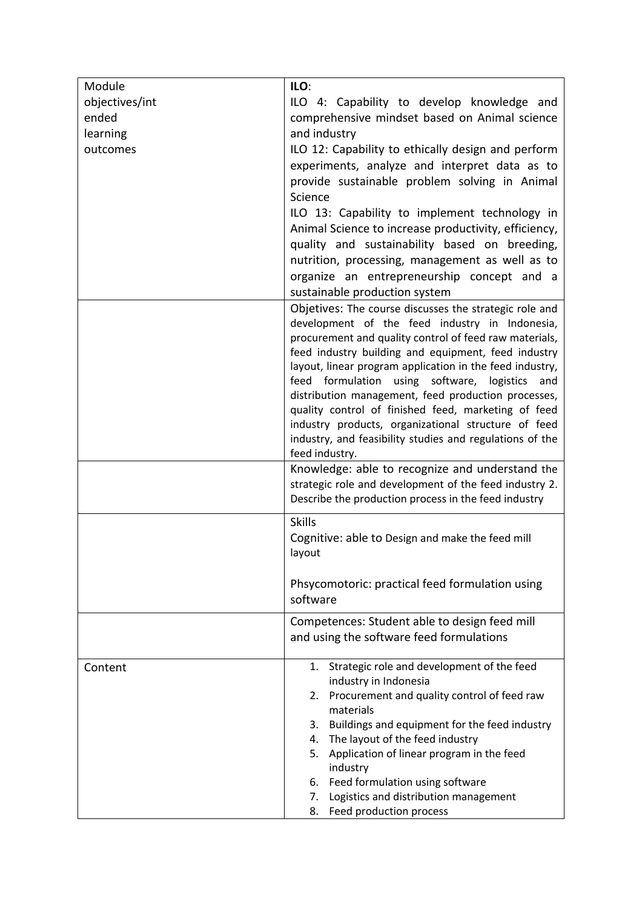| Module         | ILO:                                                                                                           |
|----------------|----------------------------------------------------------------------------------------------------------------|
| objectives/int | ILO 4: Capability to develop knowledge and                                                                     |
| ended          | comprehensive mindset based on Animal science                                                                  |
| learning       | and industry                                                                                                   |
| outcomes       | ILO 12: Capability to ethically design and perform                                                             |
|                | experiments, analyze and interpret data as to                                                                  |
|                | provide sustainable problem solving in Animal                                                                  |
|                | Science                                                                                                        |
|                | ILO 13: Capability to implement technology in                                                                  |
|                | Animal Science to increase productivity, efficiency,                                                           |
|                | quality and sustainability based on breeding,                                                                  |
|                | nutrition, processing, management as well as to                                                                |
|                | organize an entrepreneurship concept and a                                                                     |
|                | sustainable production system                                                                                  |
|                | Objetives: The course discusses the strategic role and                                                         |
|                | development of the feed industry in Indonesia,                                                                 |
|                | procurement and quality control of feed raw materials,                                                         |
|                | feed industry building and equipment, feed industry                                                            |
|                | layout, linear program application in the feed industry,                                                       |
|                | feed formulation using software, logistics<br>and                                                              |
|                | distribution management, feed production processes,                                                            |
|                | quality control of finished feed, marketing of feed                                                            |
|                | industry products, organizational structure of feed                                                            |
|                | industry, and feasibility studies and regulations of the                                                       |
|                | feed industry.                                                                                                 |
|                | Knowledge: able to recognize and understand the                                                                |
|                | strategic role and development of the feed industry 2.<br>Describe the production process in the feed industry |
|                |                                                                                                                |
|                | <b>Skills</b>                                                                                                  |
|                | Cognitive: able to Design and make the feed mill                                                               |
|                | layout                                                                                                         |
|                |                                                                                                                |
|                | Phsycomotoric: practical feed formulation using<br>software                                                    |
|                |                                                                                                                |
|                | Competences: Student able to design feed mill                                                                  |
|                | and using the software feed formulations                                                                       |
| Content        | 1. Strategic role and development of the feed                                                                  |
|                | industry in Indonesia                                                                                          |
|                | Procurement and quality control of feed raw<br>2.                                                              |
|                | materials                                                                                                      |
|                | 3. Buildings and equipment for the feed industry                                                               |
|                | 4. The layout of the feed industry                                                                             |
|                | 5. Application of linear program in the feed                                                                   |
|                | industry                                                                                                       |
|                | 6. Feed formulation using software                                                                             |
|                | Logistics and distribution management<br>7.                                                                    |
|                | Feed production process<br>8.                                                                                  |